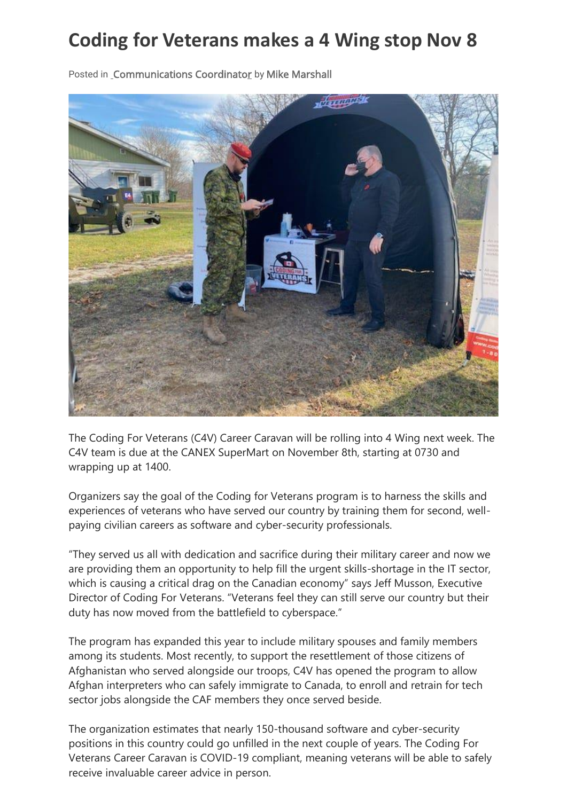## **Coding for Veterans makes a 4 Wing stop Nov 8**



Posted in [Communications Coordinator](https://couriernews.ca/local-news/coding-for-veterans-makes-a-4-wing-stop-nov-8/) by [Mike Marshall](https://couriernews.ca/local-news/coding-for-veterans-makes-a-4-wing-stop-nov-8/)

The Coding For Veterans (C4V) Career Caravan will be rolling into 4 Wing next week. The C4V team is due at the CANEX SuperMart on November 8th, starting at 0730 and wrapping up at 1400.

Organizers say the goal of the Coding for Veterans program is to harness the skills and experiences of veterans who have served our country by training them for second, wellpaying civilian careers as software and cyber-security professionals.

"They served us all with dedication and sacrifice during their military career and now we are providing them an opportunity to help fill the urgent skills-shortage in the IT sector, which is causing a critical drag on the Canadian economy" says Jeff Musson, Executive Director of Coding For Veterans. "Veterans feel they can still serve our country but their duty has now moved from the battlefield to cyberspace."

The program has expanded this year to include military spouses and family members among its students. Most recently, to support the resettlement of those citizens of Afghanistan who served alongside our troops, C4V has opened the program to allow Afghan interpreters who can safely immigrate to Canada, to enroll and retrain for tech sector jobs alongside the CAF members they once served beside.

The organization estimates that nearly 150-thousand software and cyber-security positions in this country could go unfilled in the next couple of years. The Coding For Veterans Career Caravan is COVID-19 compliant, meaning veterans will be able to safely receive invaluable career advice in person.